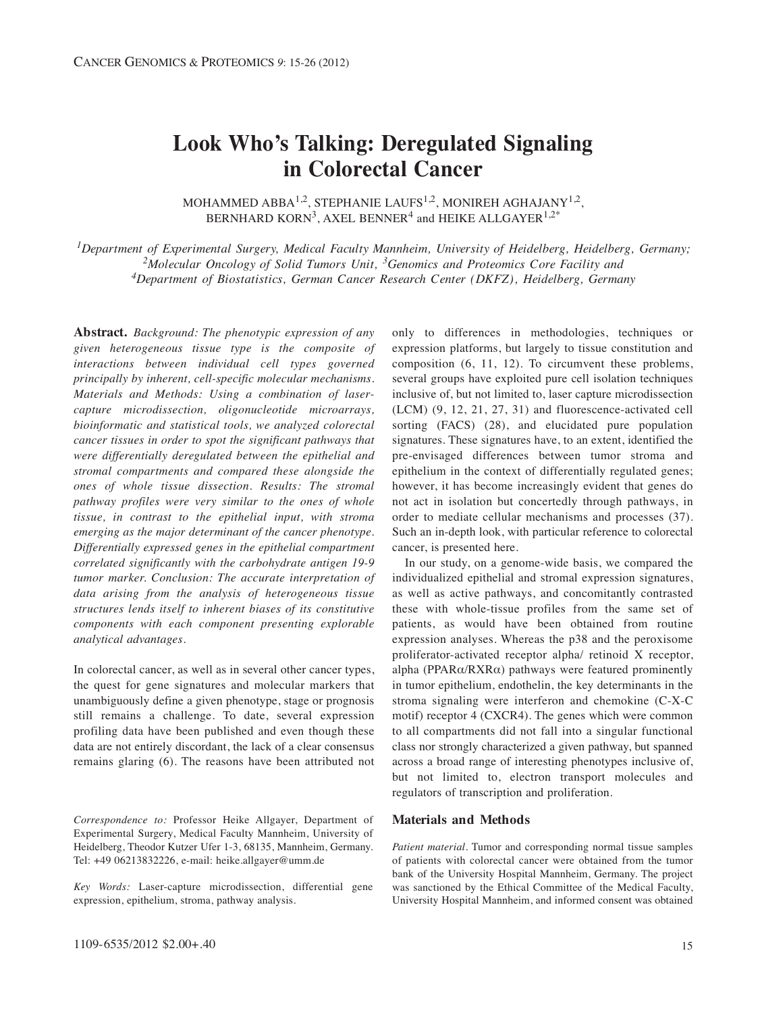# **Look Who's Talking: Deregulated Signaling in Colorectal Cancer**

MOHAMMED ABBA<sup>1,2</sup>, STEPHANIE LAUFS<sup>1,2</sup>, MONIREH AGHAJANY<sup>1,2</sup>, BERNHARD KORN<sup>3</sup>, AXEL BENNER<sup>4</sup> and HEIKE ALLGAYER<sup>1,2\*</sup>

*1Department of Experimental Surgery, Medical Faculty Mannheim, University of Heidelberg, Heidelberg, Germany; 2Molecular Oncology of Solid Tumors Unit, 3Genomics and Proteomics Core Facility and 4Department of Biostatistics, German Cancer Research Center (DKFZ), Heidelberg, Germany*

**Abstract.** *Background: The phenotypic expression of any given heterogeneous tissue type is the composite of interactions between individual cell types governed principally by inherent, cell-specific molecular mechanisms. Materials and Methods: Using a combination of lasercapture microdissection, oligonucleotide microarrays, bioinformatic and statistical tools, we analyzed colorectal cancer tissues in order to spot the significant pathways that were differentially deregulated between the epithelial and stromal compartments and compared these alongside the ones of whole tissue dissection. Results: The stromal pathway profiles were very similar to the ones of whole tissue, in contrast to the epithelial input, with stroma emerging as the major determinant of the cancer phenotype. Differentially expressed genes in the epithelial compartment correlated significantly with the carbohydrate antigen 19-9 tumor marker. Conclusion: The accurate interpretation of data arising from the analysis of heterogeneous tissue structures lends itself to inherent biases of its constitutive components with each component presenting explorable analytical advantages.*

In colorectal cancer, as well as in several other cancer types, the quest for gene signatures and molecular markers that unambiguously define a given phenotype, stage or prognosis still remains a challenge. To date, several expression profiling data have been published and even though these data are not entirely discordant, the lack of a clear consensus remains glaring (6). The reasons have been attributed not

*Correspondence to:* Professor Heike Allgayer, Department of Experimental Surgery, Medical Faculty Mannheim, University of Heidelberg, Theodor Kutzer Ufer 1-3, 68135, Mannheim, Germany. Tel: +49 06213832226, e-mail: heike.allgayer@umm.de

*Key Words:* Laser-capture microdissection, differential gene expression, epithelium, stroma, pathway analysis.

1109-6535/2012 \$2.00+.40

only to differences in methodologies, techniques or expression platforms, but largely to tissue constitution and composition (6, 11, 12). To circumvent these problems, several groups have exploited pure cell isolation techniques inclusive of, but not limited to, laser capture microdissection (LCM) (9, 12, 21, 27, 31) and fluorescence-activated cell sorting (FACS) (28), and elucidated pure population signatures. These signatures have, to an extent, identified the pre-envisaged differences between tumor stroma and epithelium in the context of differentially regulated genes; however, it has become increasingly evident that genes do not act in isolation but concertedly through pathways, in order to mediate cellular mechanisms and processes (37). Such an in-depth look, with particular reference to colorectal cancer, is presented here.

In our study, on a genome-wide basis, we compared the individualized epithelial and stromal expression signatures, as well as active pathways, and concomitantly contrasted these with whole-tissue profiles from the same set of patients, as would have been obtained from routine expression analyses. Whereas the p38 and the peroxisome proliferator-activated receptor alpha/ retinoid X receptor, alpha (PPAR $\alpha$ /RXR $\alpha$ ) pathways were featured prominently in tumor epithelium, endothelin, the key determinants in the stroma signaling were interferon and chemokine (C-X-C motif) receptor 4 (CXCR4). The genes which were common to all compartments did not fall into a singular functional class nor strongly characterized a given pathway, but spanned across a broad range of interesting phenotypes inclusive of, but not limited to, electron transport molecules and regulators of transcription and proliferation.

#### **Materials and Methods**

*Patient material.* Tumor and corresponding normal tissue samples of patients with colorectal cancer were obtained from the tumor bank of the University Hospital Mannheim, Germany. The project was sanctioned by the Ethical Committee of the Medical Faculty, University Hospital Mannheim, and informed consent was obtained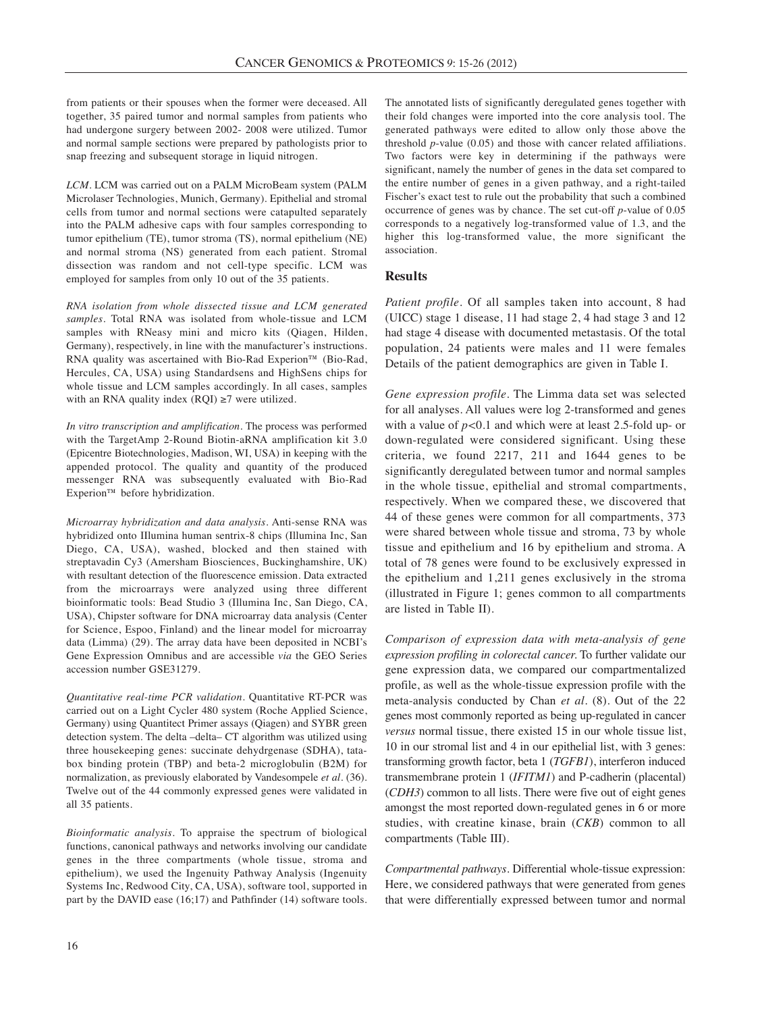from patients or their spouses when the former were deceased. All together, 35 paired tumor and normal samples from patients who had undergone surgery between 2002- 2008 were utilized. Tumor and normal sample sections were prepared by pathologists prior to snap freezing and subsequent storage in liquid nitrogen.

*LCM.* LCM was carried out on a PALM MicroBeam system (PALM Microlaser Technologies, Munich, Germany). Epithelial and stromal cells from tumor and normal sections were catapulted separately into the PALM adhesive caps with four samples corresponding to tumor epithelium (TE), tumor stroma (TS), normal epithelium (NE) and normal stroma (NS) generated from each patient. Stromal dissection was random and not cell-type specific. LCM was employed for samples from only 10 out of the 35 patients.

*RNA isolation from whole dissected tissue and LCM generated samples.* Total RNA was isolated from whole-tissue and LCM samples with RNeasy mini and micro kits (Qiagen, Hilden, Germany), respectively, in line with the manufacturer's instructions. RNA quality was ascertained with Bio-Rad Experion™ (Bio-Rad, Hercules, CA, USA) using Standardsens and HighSens chips for whole tissue and LCM samples accordingly. In all cases, samples with an RNA quality index  $(ROI) \geq 7$  were utilized.

*In vitro transcription and amplification.* The process was performed with the TargetAmp 2-Round Biotin-aRNA amplification kit 3.0 (Epicentre Biotechnologies, Madison, WI, USA) in keeping with the appended protocol. The quality and quantity of the produced messenger RNA was subsequently evaluated with Bio-Rad Experion™ before hybridization.

*Microarray hybridization and data analysis.* Anti-sense RNA was hybridized onto IIlumina human sentrix-8 chips (Illumina Inc, San Diego, CA, USA), washed, blocked and then stained with streptavadin Cy3 (Amersham Biosciences, Buckinghamshire, UK) with resultant detection of the fluorescence emission. Data extracted from the microarrays were analyzed using three different bioinformatic tools: Bead Studio 3 (Illumina Inc, San Diego, CA, USA), Chipster software for DNA microarray data analysis (Center for Science, Espoo, Finland) and the linear model for microarray data (Limma) (29). The array data have been deposited in NCBI's Gene Expression Omnibus and are accessible *via* the GEO Series accession number GSE31279.

*Quantitative real-time PCR validation.* Quantitative RT-PCR was carried out on a Light Cycler 480 system (Roche Applied Science, Germany) using Quantitect Primer assays (Qiagen) and SYBR green detection system. The delta –delta– CT algorithm was utilized using three housekeeping genes: succinate dehydrgenase (SDHA), tatabox binding protein (TBP) and beta-2 microglobulin (B2M) for normalization, as previously elaborated by Vandesompele *et al.* (36). Twelve out of the 44 commonly expressed genes were validated in all 35 patients.

*Bioinformatic analysis.* To appraise the spectrum of biological functions, canonical pathways and networks involving our candidate genes in the three compartments (whole tissue, stroma and epithelium), we used the Ingenuity Pathway Analysis (Ingenuity Systems Inc, Redwood City, CA, USA), software tool, supported in part by the DAVID ease (16;17) and Pathfinder (14) software tools.

The annotated lists of significantly deregulated genes together with their fold changes were imported into the core analysis tool. The generated pathways were edited to allow only those above the threshold *p*-value (0.05) and those with cancer related affiliations. Two factors were key in determining if the pathways were significant, namely the number of genes in the data set compared to the entire number of genes in a given pathway, and a right-tailed Fischer's exact test to rule out the probability that such a combined occurrence of genes was by chance. The set cut-off *p*-value of 0.05 corresponds to a negatively log-transformed value of 1.3, and the higher this log-transformed value, the more significant the association.

## **Results**

*Patient profile*. Of all samples taken into account, 8 had (UICC) stage 1 disease, 11 had stage 2, 4 had stage 3 and 12 had stage 4 disease with documented metastasis. Of the total population, 24 patients were males and 11 were females Details of the patient demographics are given in Table I.

*Gene expression profile.* The Limma data set was selected for all analyses. All values were log 2-transformed and genes with a value of *p<*0.1 and which were at least 2.5-fold up- or down-regulated were considered significant. Using these criteria, we found 2217, 211 and 1644 genes to be significantly deregulated between tumor and normal samples in the whole tissue, epithelial and stromal compartments, respectively. When we compared these, we discovered that 44 of these genes were common for all compartments, 373 were shared between whole tissue and stroma, 73 by whole tissue and epithelium and 16 by epithelium and stroma. A total of 78 genes were found to be exclusively expressed in the epithelium and 1,211 genes exclusively in the stroma (illustrated in Figure 1; genes common to all compartments are listed in Table II).

*Comparison of expression data with meta-analysis of gene expression profiling in colorectal cancer.* To further validate our gene expression data, we compared our compartmentalized profile, as well as the whole-tissue expression profile with the meta-analysis conducted by Chan *et al.* (8). Out of the 22 genes most commonly reported as being up-regulated in cancer *versus* normal tissue, there existed 15 in our whole tissue list, 10 in our stromal list and 4 in our epithelial list, with 3 genes: transforming growth factor, beta 1 (*TGFB1*), interferon induced transmembrane protein 1 (*IFITM1*) and P-cadherin (placental) (*CDH3*) common to all lists. There were five out of eight genes amongst the most reported down-regulated genes in 6 or more studies, with creatine kinase, brain (*CKB*) common to all compartments (Table III).

*Compartmental pathways.* Differential whole-tissue expression: Here, we considered pathways that were generated from genes that were differentially expressed between tumor and normal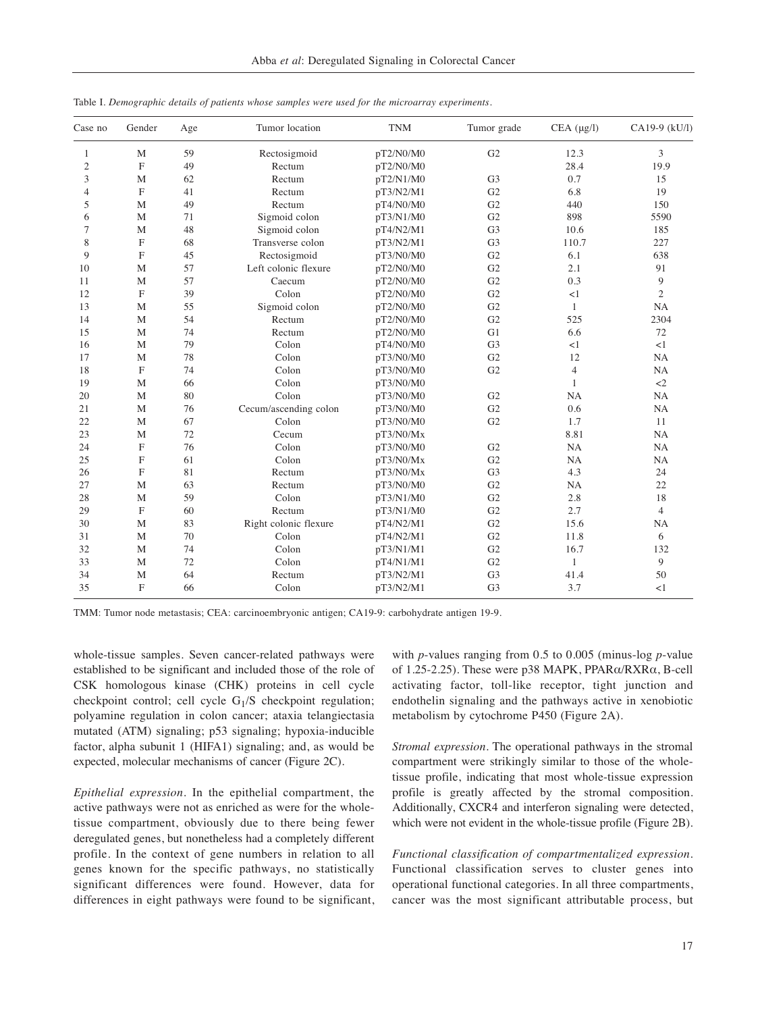| Case no        | Gender                    | Age | Tumor location        | <b>TNM</b> | Tumor grade    | $CEA (\mu g/l)$ | CA19-9 (kU/l)  |
|----------------|---------------------------|-----|-----------------------|------------|----------------|-----------------|----------------|
| 1              | M                         | 59  | Rectosigmoid          | pT2/N0/M0  | G <sub>2</sub> | 12.3            | 3              |
| 2              | $\mathbf F$               | 49  | Rectum                | pT2/N0/M0  |                | 28.4            | 19.9           |
| 3              | M                         | 62  | Rectum                | pT2/N1/M0  | G <sub>3</sub> | 0.7             | 15             |
| $\overline{4}$ | F                         | 41  | Rectum                | pT3/N2/M1  | G <sub>2</sub> | 6.8             | 19             |
| 5              | M                         | 49  | Rectum                | pT4/N0/M0  | G <sub>2</sub> | 440             | 150            |
| 6              | M                         | 71  | Sigmoid colon         | pT3/N1/M0  | G <sub>2</sub> | 898             | 5590           |
| 7              | M                         | 48  | Sigmoid colon         | pT4/N2/M1  | G <sub>3</sub> | 10.6            | 185            |
| 8              | F                         | 68  | Transverse colon      | pT3/N2/M1  | G <sub>3</sub> | 110.7           | 227            |
| 9              | F                         | 45  | Rectosigmoid          | pT3/N0/M0  | G <sub>2</sub> | 6.1             | 638            |
| 10             | M                         | 57  | Left colonic flexure  | pT2/N0/M0  | G <sub>2</sub> | 2.1             | 91             |
| 11             | M                         | 57  | Caecum                | pT2/N0/M0  | G <sub>2</sub> | 0.3             | 9              |
| 12             | $\boldsymbol{\mathrm{F}}$ | 39  | Colon                 | pT2/N0/M0  | G <sub>2</sub> | <1              | $\overline{c}$ |
| 13             | M                         | 55  | Sigmoid colon         | pT2/N0/M0  | G <sub>2</sub> | 1               | NA             |
| 14             | M                         | 54  | Rectum                | pT2/N0/M0  | G <sub>2</sub> | 525             | 2304           |
| 15             | M                         | 74  | Rectum                | pT2/N0/M0  | G1             | 6.6             | 72             |
| 16             | M                         | 79  | Colon                 | pT4/N0/M0  | G <sub>3</sub> | <1              | <1             |
| 17             | M                         | 78  | Colon                 | pT3/N0/M0  | G <sub>2</sub> | 12              | NA             |
| 18             | $\boldsymbol{\mathrm{F}}$ | 74  | Colon                 | pT3/N0/M0  | G <sub>2</sub> | $\overline{4}$  | NA             |
| 19             | M                         | 66  | Colon                 | pT3/N0/M0  |                | 1               | $\langle 2$    |
| 20             | M                         | 80  | Colon                 | pT3/N0/M0  | G <sub>2</sub> | <b>NA</b>       | NA             |
| 21             | M                         | 76  | Cecum/ascending colon | pT3/N0/M0  | G2             | 0.6             | NA             |
| 22             | M                         | 67  | Colon                 | pT3/N0/M0  | G <sub>2</sub> | 1.7             | 11             |
| 23             | M                         | 72  | Cecum                 | pT3/N0/Mx  |                | 8.81            | NA             |
| 24             | F                         | 76  | Colon                 | pT3/N0/M0  | G <sub>2</sub> | NA              | NA             |
| 25             | F                         | 61  | Colon                 | pT3/N0/Mx  | G <sub>2</sub> | NA              | <b>NA</b>      |
| 26             | F                         | 81  | Rectum                | pT3/N0/Mx  | G <sub>3</sub> | 4.3             | 24             |
| 27             | M                         | 63  | Rectum                | pT3/N0/M0  | G <sub>2</sub> | <b>NA</b>       | 22             |
| 28             | $\mathbf M$               | 59  | Colon                 | pT3/N1/M0  | G <sub>2</sub> | 2.8             | 18             |
| 29             | $\mathbf F$               | 60  | Rectum                | pT3/N1/M0  | G2             | 2.7             | $\overline{4}$ |
| 30             | M                         | 83  | Right colonic flexure | pT4/N2/M1  | G <sub>2</sub> | 15.6            | <b>NA</b>      |
| 31             | M                         | 70  | Colon                 | pT4/N2/M1  | G <sub>2</sub> | 11.8            | 6              |
| 32             | M                         | 74  | Colon                 | pT3/N1/M1  | G <sub>2</sub> | 16.7            | 132            |
| 33             | M                         | 72  | Colon                 | pT4/N1/M1  | G <sub>2</sub> | 1               | 9              |
| 34             | $\mathbf M$               | 64  | Rectum                | pT3/N2/M1  | G <sub>3</sub> | 41.4            | 50             |
| 35             | $\mathbf F$               | 66  | Colon                 | pT3/N2/M1  | G <sub>3</sub> | 3.7             | <1             |

Table I. *Demographic details of patients whose samples were used for the microarray experiments.*

TMM: Tumor node metastasis; CEA: carcinoembryonic antigen; CA19-9: carbohydrate antigen 19-9.

whole-tissue samples. Seven cancer-related pathways were established to be significant and included those of the role of CSK homologous kinase (CHK) proteins in cell cycle checkpoint control; cell cycle  $G_1/S$  checkpoint regulation; polyamine regulation in colon cancer; ataxia telangiectasia mutated (ATM) signaling; p53 signaling; hypoxia-inducible factor, alpha subunit 1 (HIFA1) signaling; and, as would be expected, molecular mechanisms of cancer (Figure 2C).

*Epithelial expression.* In the epithelial compartment, the active pathways were not as enriched as were for the wholetissue compartment, obviously due to there being fewer deregulated genes, but nonetheless had a completely different profile. In the context of gene numbers in relation to all genes known for the specific pathways, no statistically significant differences were found. However, data for differences in eight pathways were found to be significant,

with *p*-values ranging from 0.5 to 0.005 (minus-log *p*-value of 1.25-2.25). These were p38 MAPK, PPARα/RXRα, B-cell activating factor, toll-like receptor, tight junction and endothelin signaling and the pathways active in xenobiotic metabolism by cytochrome P450 (Figure 2A).

*Stromal expression.* The operational pathways in the stromal compartment were strikingly similar to those of the wholetissue profile, indicating that most whole-tissue expression profile is greatly affected by the stromal composition. Additionally, CXCR4 and interferon signaling were detected, which were not evident in the whole-tissue profile (Figure 2B).

*Functional classification of compartmentalized expression.* Functional classification serves to cluster genes into operational functional categories. In all three compartments, cancer was the most significant attributable process, but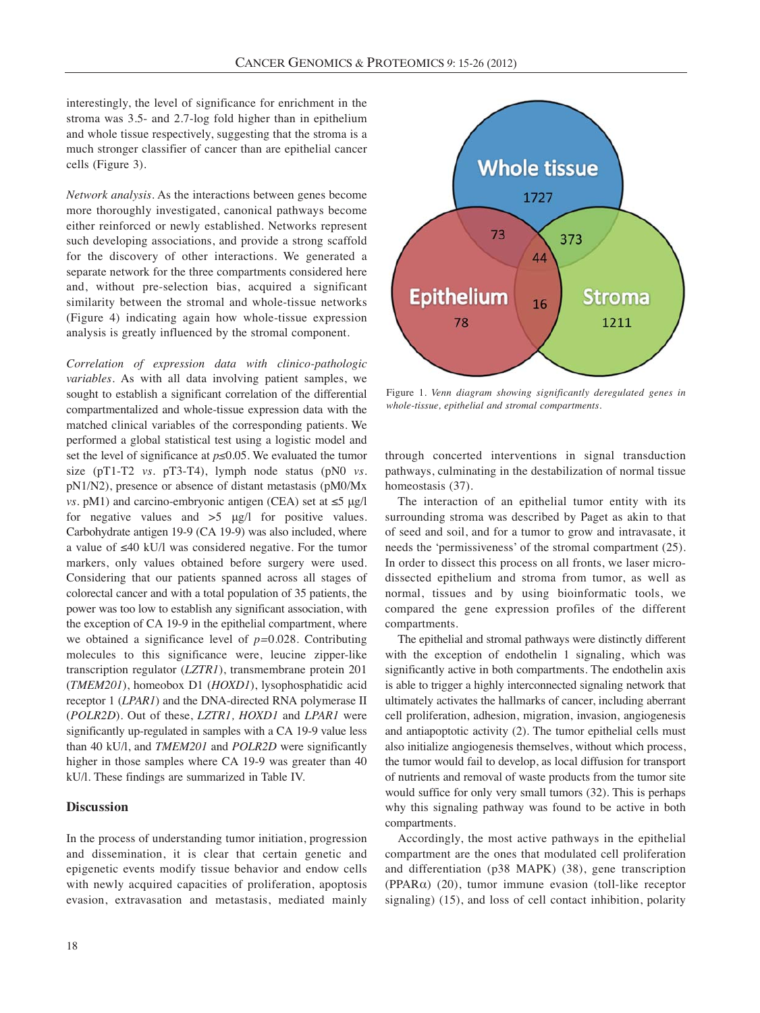interestingly, the level of significance for enrichment in the stroma was 3.5- and 2.7-log fold higher than in epithelium and whole tissue respectively, suggesting that the stroma is a much stronger classifier of cancer than are epithelial cancer cells (Figure 3).

*Network analysis.* As the interactions between genes become more thoroughly investigated, canonical pathways become either reinforced or newly established. Networks represent such developing associations, and provide a strong scaffold for the discovery of other interactions. We generated a separate network for the three compartments considered here and, without pre-selection bias, acquired a significant similarity between the stromal and whole-tissue networks (Figure 4) indicating again how whole-tissue expression analysis is greatly influenced by the stromal component.

*Correlation of expression data with clinico-pathologic variables.* As with all data involving patient samples, we sought to establish a significant correlation of the differential compartmentalized and whole-tissue expression data with the matched clinical variables of the corresponding patients. We performed a global statistical test using a logistic model and set the level of significance at *p≤*0.05. We evaluated the tumor size (pT1-T2 *vs.* pT3-T4), lymph node status (pN0 *vs.* pN1/N2), presence or absence of distant metastasis (pM0/Mx *vs.* pM1) and carcino-embryonic antigen (CEA) set at ≤5 μg/l for negative values and >5 μg/l for positive values. Carbohydrate antigen 19-9 (CA 19-9) was also included, where a value of ≤40 kU/l was considered negative. For the tumor markers, only values obtained before surgery were used. Considering that our patients spanned across all stages of colorectal cancer and with a total population of 35 patients, the power was too low to establish any significant association, with the exception of CA 19-9 in the epithelial compartment, where we obtained a significance level of *p=*0.028. Contributing molecules to this significance were, leucine zipper-like transcription regulator (*LZTR1*), transmembrane protein 201 (*TMEM201*), homeobox D1 (*HOXD1*), lysophosphatidic acid receptor 1 (*LPAR1*) and the DNA-directed RNA polymerase II (*POLR2D*). Out of these, *LZTR1, HOXD1* and *LPAR1* were significantly up-regulated in samples with a CA 19-9 value less than 40 kU/l, and *TMEM201* and *POLR2D* were significantly higher in those samples where CA 19-9 was greater than 40 kU/l. These findings are summarized in Table IV.

## **Discussion**

In the process of understanding tumor initiation, progression and dissemination, it is clear that certain genetic and epigenetic events modify tissue behavior and endow cells with newly acquired capacities of proliferation, apoptosis evasion, extravasation and metastasis, mediated mainly



Figure 1. *Venn diagram showing significantly deregulated genes in whole-tissue, epithelial and stromal compartments.*

through concerted interventions in signal transduction pathways, culminating in the destabilization of normal tissue homeostasis (37).

The interaction of an epithelial tumor entity with its surrounding stroma was described by Paget as akin to that of seed and soil, and for a tumor to grow and intravasate, it needs the 'permissiveness' of the stromal compartment (25). In order to dissect this process on all fronts, we laser microdissected epithelium and stroma from tumor, as well as normal, tissues and by using bioinformatic tools, we compared the gene expression profiles of the different compartments.

The epithelial and stromal pathways were distinctly different with the exception of endothelin 1 signaling, which was significantly active in both compartments. The endothelin axis is able to trigger a highly interconnected signaling network that ultimately activates the hallmarks of cancer, including aberrant cell proliferation, adhesion, migration, invasion, angiogenesis and antiapoptotic activity (2). The tumor epithelial cells must also initialize angiogenesis themselves, without which process, the tumor would fail to develop, as local diffusion for transport of nutrients and removal of waste products from the tumor site would suffice for only very small tumors (32). This is perhaps why this signaling pathway was found to be active in both compartments.

Accordingly, the most active pathways in the epithelial compartment are the ones that modulated cell proliferation and differentiation (p38 MAPK) (38), gene transcription (PPARα) (20), tumor immune evasion (toll-like receptor signaling) (15), and loss of cell contact inhibition, polarity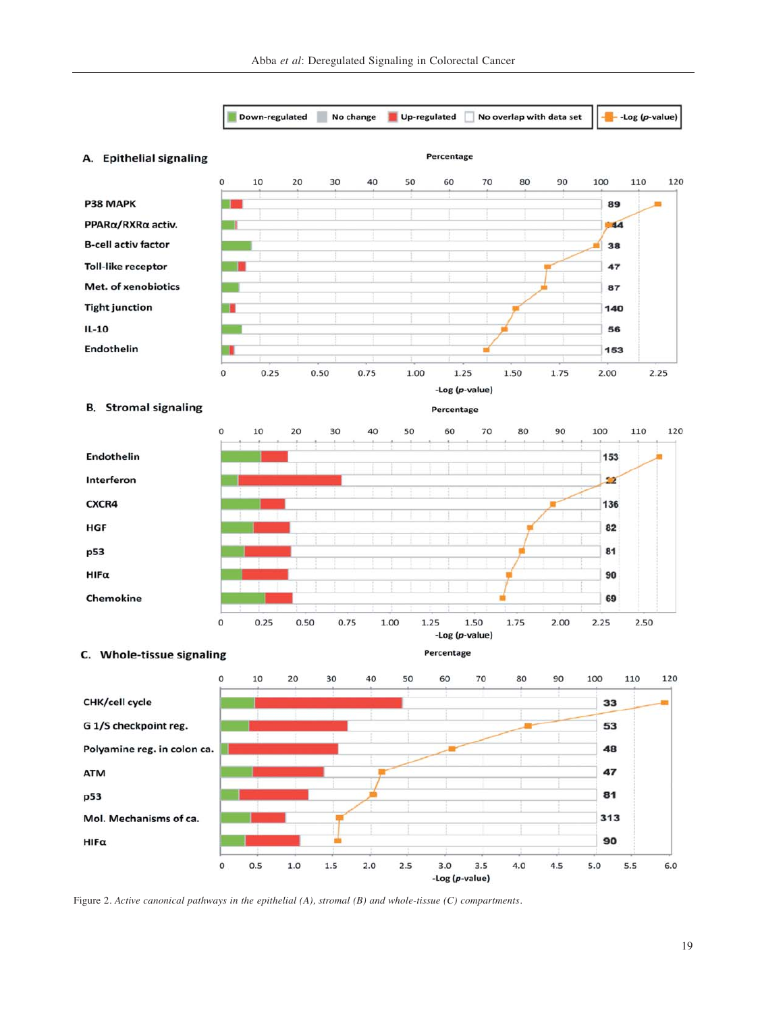

Figure 2. *Active canonical pathways in the epithelial (A), stromal (B) and whole-tissue (C) compartments.*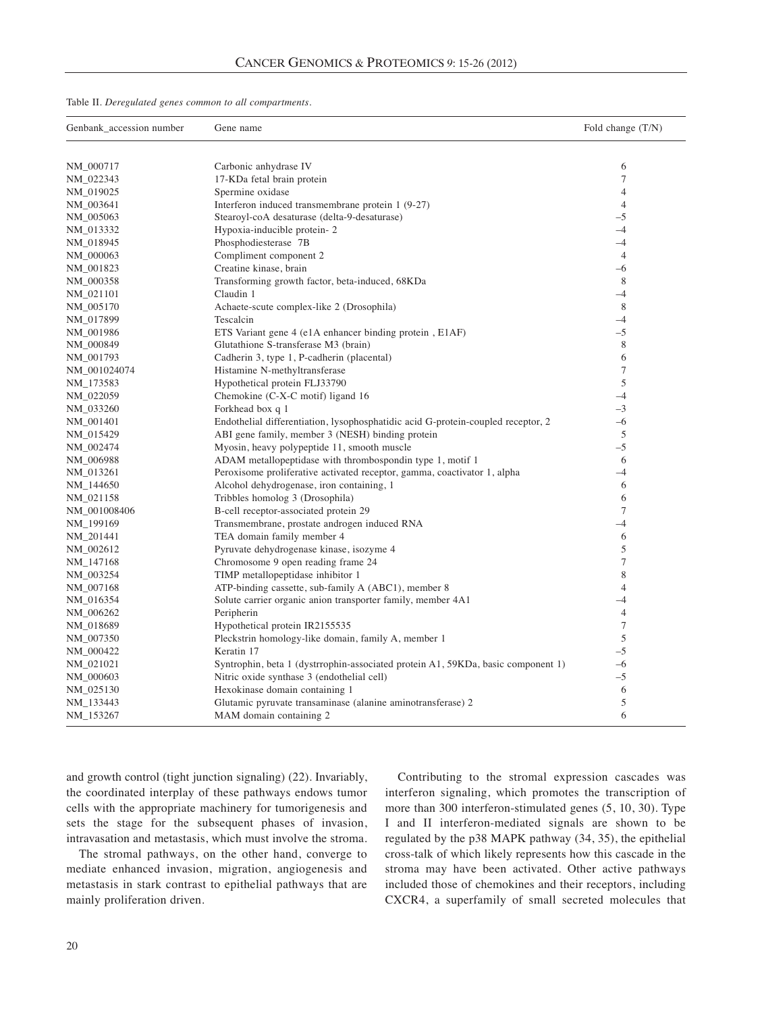| Table II. Deregulated genes common to all compartments. |  |  |  |  |
|---------------------------------------------------------|--|--|--|--|
|---------------------------------------------------------|--|--|--|--|

| Genbank_accession number | Gene name                                                                        | Fold change (T/N) |  |
|--------------------------|----------------------------------------------------------------------------------|-------------------|--|
|                          |                                                                                  |                   |  |
| NM_000717                | Carbonic anhydrase IV                                                            | 6<br>7            |  |
| NM_022343<br>NM_019025   | 17-KDa fetal brain protein<br>Spermine oxidase                                   | $\overline{4}$    |  |
| NM_003641                | Interferon induced transmembrane protein 1 (9-27)                                | $\overline{4}$    |  |
| NM_005063                | Stearoyl-coA desaturase (delta-9-desaturase)                                     | $-5$              |  |
| NM_013332                | Hypoxia-inducible protein-2                                                      | $-4$              |  |
| NM_018945                | Phosphodiesterase 7B                                                             | $-4$              |  |
| NM_000063                | Compliment component 2                                                           | $\overline{4}$    |  |
| NM_001823                | Creatine kinase, brain                                                           | $-6$              |  |
| NM_000358                | Transforming growth factor, beta-induced, 68KDa                                  | 8                 |  |
| NM_021101                | Claudin 1                                                                        | $-4$              |  |
| NM_005170                | Achaete-scute complex-like 2 (Drosophila)                                        | 8                 |  |
| NM_017899                | Tescalcin                                                                        | $-4$              |  |
| NM_001986                | ETS Variant gene 4 (e1A enhancer binding protein, E1AF)                          | $-5$              |  |
| NM_000849                | Glutathione S-transferase M3 (brain)                                             | 8                 |  |
| NM_001793                | Cadherin 3, type 1, P-cadherin (placental)                                       | 6                 |  |
| NM_001024074             | Histamine N-methyltransferase                                                    | $\overline{7}$    |  |
| NM <sub>-173583</sub>    | Hypothetical protein FLJ33790                                                    | 5                 |  |
| NM_022059                | Chemokine (C-X-C motif) ligand 16                                                | $-4$              |  |
| NM_033260                | Forkhead box q 1                                                                 | $-3$              |  |
| NM_001401                | Endothelial differentiation, lysophosphatidic acid G-protein-coupled receptor, 2 | $-6$              |  |
| NM_015429                | ABI gene family, member 3 (NESH) binding protein                                 | 5                 |  |
| NM_002474                | Myosin, heavy polypeptide 11, smooth muscle                                      | $-5$              |  |
| NM_006988                | ADAM metallopeptidase with thrombospondin type 1, motif 1                        | 6                 |  |
| NM_013261                | Peroxisome proliferative activated receptor, gamma, coactivator 1, alpha         | $-4$              |  |
| NM_144650                | Alcohol dehydrogenase, iron containing, 1                                        | 6                 |  |
| NM_021158                | Tribbles homolog 3 (Drosophila)                                                  | 6                 |  |
| NM_001008406             | B-cell receptor-associated protein 29                                            | $\overline{7}$    |  |
| NM_199169                | Transmembrane, prostate androgen induced RNA                                     | $-4$              |  |
| NM_201441                | TEA domain family member 4                                                       | 6                 |  |
| NM_002612                | Pyruvate dehydrogenase kinase, isozyme 4                                         | 5                 |  |
| NM <sub>-147168</sub>    | Chromosome 9 open reading frame 24                                               | 7                 |  |
| NM_003254                | TIMP metallopeptidase inhibitor 1                                                | 8                 |  |
| NM_007168                | ATP-binding cassette, sub-family A (ABC1), member 8                              | $\overline{4}$    |  |
| NM_016354                | Solute carrier organic anion transporter family, member 4A1                      | $-4$              |  |
| NM_006262                | Peripherin                                                                       | $\overline{4}$    |  |
| NM_018689                | Hypothetical protein IR2155535                                                   | $\tau$            |  |
| NM_007350                | Pleckstrin homology-like domain, family A, member 1                              | 5                 |  |
| NM_000422                | Keratin 17                                                                       | $-5$              |  |
| NM_021021                | Syntrophin, beta 1 (dystrrophin-associated protein A1, 59KDa, basic component 1) | $-6$              |  |
| NM_000603                | Nitric oxide synthase 3 (endothelial cell)                                       | $-5$              |  |
| NM_025130                | Hexokinase domain containing 1                                                   | 6                 |  |
| NM_133443                | Glutamic pyruvate transaminase (alanine aminotransferase) 2                      | 5                 |  |
| NM_153267                | MAM domain containing 2                                                          | 6                 |  |

and growth control (tight junction signaling) (22). Invariably, the coordinated interplay of these pathways endows tumor cells with the appropriate machinery for tumorigenesis and sets the stage for the subsequent phases of invasion, intravasation and metastasis, which must involve the stroma.

The stromal pathways, on the other hand, converge to mediate enhanced invasion, migration, angiogenesis and metastasis in stark contrast to epithelial pathways that are mainly proliferation driven.

Contributing to the stromal expression cascades was interferon signaling, which promotes the transcription of more than 300 interferon-stimulated genes (5, 10, 30). Type I and II interferon-mediated signals are shown to be regulated by the p38 MAPK pathway (34, 35), the epithelial cross-talk of which likely represents how this cascade in the stroma may have been activated. Other active pathways included those of chemokines and their receptors, including CXCR4, a superfamily of small secreted molecules that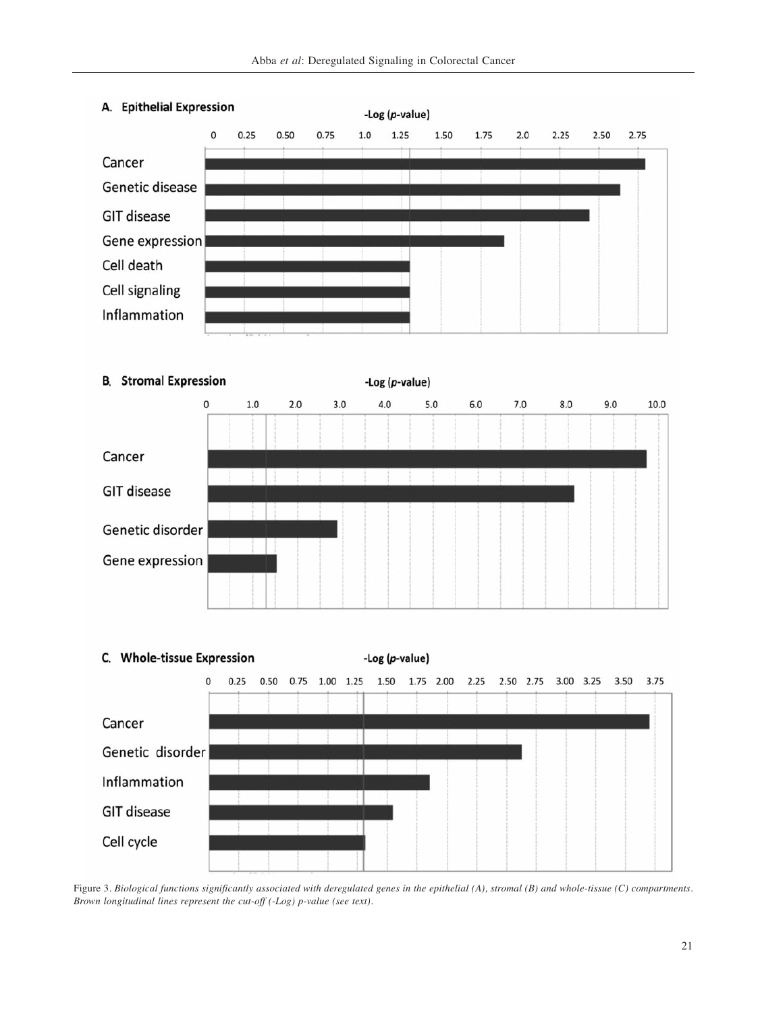

# A. Epithelial Expression





Figure 3. *Biological functions significantly associated with deregulated genes in the epithelial (A), stromal (B) and whole-tissue (C) compartments. Brown longitudinal lines represent the cut-off (-Log) p-value (see text).*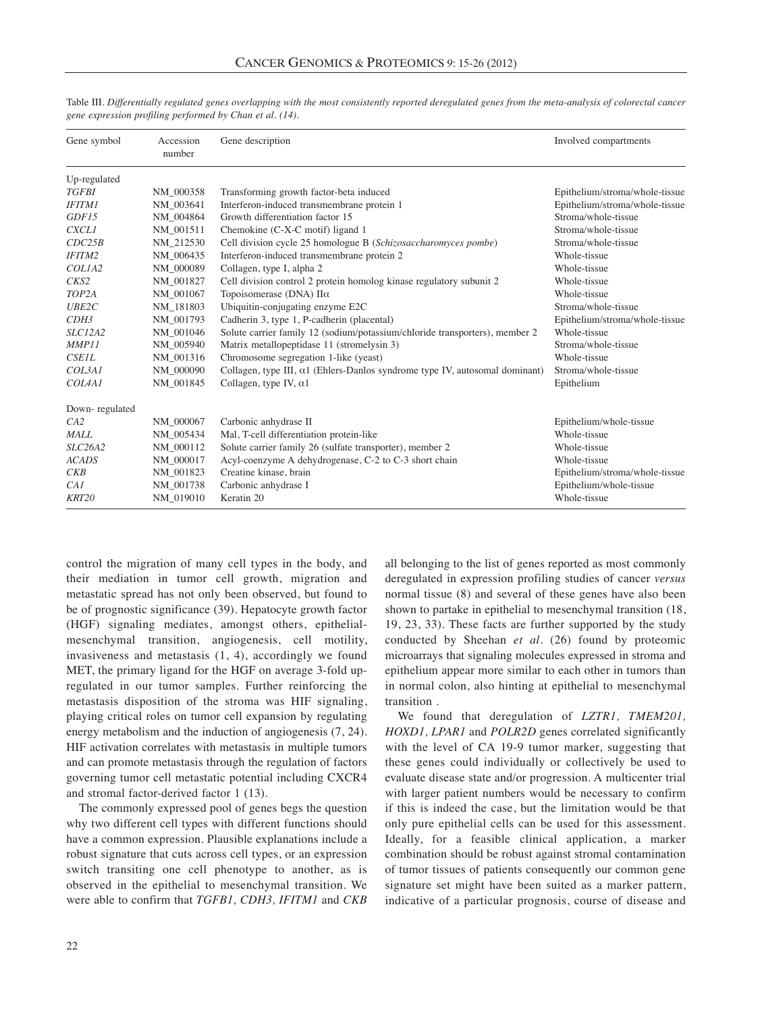| Gene symbol                     | Accession<br>number | Gene description                                                                    | Involved compartments          |
|---------------------------------|---------------------|-------------------------------------------------------------------------------------|--------------------------------|
| Up-regulated                    |                     |                                                                                     |                                |
| <b>TGFBI</b>                    | NM 000358           | Transforming growth factor-beta induced                                             | Epithelium/stroma/whole-tissue |
| <b>IFITM1</b>                   | NM 003641           | Interferon-induced transmembrane protein 1                                          | Epithelium/stroma/whole-tissue |
| GDF15                           | NM 004864           | Growth differentiation factor 15                                                    | Stroma/whole-tissue            |
| <b>CXCL1</b>                    | NM 001511           | Chemokine (C-X-C motif) ligand 1                                                    | Stroma/whole-tissue            |
| CDC25B                          | NM 212530           | Cell division cycle 25 homologue B (Schizosaccharomyces pombe)                      | Stroma/whole-tissue            |
| <b>IFITM2</b>                   | NM 006435           | Interferon-induced transmembrane protein 2                                          | Whole-tissue                   |
| COLIA2                          | NM 000089           | Collagen, type I, alpha 2                                                           | Whole-tissue                   |
| CKS2                            | NM 001827           | Cell division control 2 protein homolog kinase regulatory subunit 2                 | Whole-tissue                   |
| TOP <sub>2</sub> A              | NM_001067           | Topoisomerase (DNA) $\Pi\alpha$                                                     | Whole-tissue                   |
| <b>UBE2C</b>                    | NM 181803           | Ubiquitin-conjugating enzyme E2C                                                    | Stroma/whole-tissue            |
| CDH <sub>3</sub>                | NM 001793           | Cadherin 3, type 1, P-cadherin (placental)                                          | Epithelium/stroma/whole-tissue |
| <i>SLC12A2</i>                  | NM 001046           | Solute carrier family 12 (sodium/potassium/chloride transporters), member 2         | Whole-tissue                   |
| MMP11                           | NM 005940           | Matrix metallopeptidase 11 (stromelysin 3)                                          | Stroma/whole-tissue            |
| <b>CSE1L</b>                    | NM 001316           | Chromosome segregation 1-like (yeast)                                               | Whole-tissue                   |
| COL3AI                          | NM 000090           | Collagen, type III, $\alpha$ 1 (Ehlers-Danlos syndrome type IV, autosomal dominant) | Stroma/whole-tissue            |
| COL <sub>4</sub> A <sub>1</sub> | NM 001845           | Collagen, type IV, $\alpha$ 1                                                       | Epithelium                     |
| Down-regulated                  |                     |                                                                                     |                                |
| CA2                             | NM 000067           | Carbonic anhydrase II<br>Epithelium/whole-tissue                                    |                                |
| <b>MALL</b>                     | NM 005434           | Mal, T-cell differentiation protein-like<br>Whole-tissue                            |                                |
| SLC26A2                         | NM 000112           | Solute carrier family 26 (sulfate transporter), member 2                            | Whole-tissue                   |
| <b>ACADS</b>                    | NM 000017           | Acyl-coenzyme A dehydrogenase, C-2 to C-3 short chain<br>Whole-tissue               |                                |
| CKB                             | NM 001823           | Creatine kinase, brain<br>Epithelium/stroma/whole-tissue                            |                                |
| CAI                             | NM 001738           | Carbonic anhydrase I<br>Epithelium/whole-tissue                                     |                                |
| KRT20                           | NM 019010           | Whole-tissue<br>Keratin 20                                                          |                                |

Table III. *Differentially regulated genes overlapping with the most consistently reported deregulated genes from the meta-analysis of colorectal cancer gene expression profiling performed by Chan et al. (14).*

control the migration of many cell types in the body, and their mediation in tumor cell growth, migration and metastatic spread has not only been observed, but found to be of prognostic significance (39). Hepatocyte growth factor (HGF) signaling mediates, amongst others, epithelialmesenchymal transition, angiogenesis, cell motility, invasiveness and metastasis (1, 4), accordingly we found MET, the primary ligand for the HGF on average 3-fold upregulated in our tumor samples. Further reinforcing the metastasis disposition of the stroma was HIF signaling, playing critical roles on tumor cell expansion by regulating energy metabolism and the induction of angiogenesis (7, 24). HIF activation correlates with metastasis in multiple tumors and can promote metastasis through the regulation of factors governing tumor cell metastatic potential including CXCR4 and stromal factor-derived factor 1 (13).

The commonly expressed pool of genes begs the question why two different cell types with different functions should have a common expression. Plausible explanations include a robust signature that cuts across cell types, or an expression switch transiting one cell phenotype to another, as is observed in the epithelial to mesenchymal transition. We were able to confirm that *TGFB1, CDH3, IFITM1* and *CKB* all belonging to the list of genes reported as most commonly deregulated in expression profiling studies of cancer *versus* normal tissue (8) and several of these genes have also been shown to partake in epithelial to mesenchymal transition (18, 19, 23, 33). These facts are further supported by the study conducted by Sheehan *et al.* (26) found by proteomic microarrays that signaling molecules expressed in stroma and epithelium appear more similar to each other in tumors than in normal colon, also hinting at epithelial to mesenchymal transition .

We found that deregulation of *LZTR1, TMEM201, HOXD1, LPAR1* and *POLR2D* genes correlated significantly with the level of CA 19-9 tumor marker, suggesting that these genes could individually or collectively be used to evaluate disease state and/or progression. A multicenter trial with larger patient numbers would be necessary to confirm if this is indeed the case, but the limitation would be that only pure epithelial cells can be used for this assessment. Ideally, for a feasible clinical application, a marker combination should be robust against stromal contamination of tumor tissues of patients consequently our common gene signature set might have been suited as a marker pattern, indicative of a particular prognosis, course of disease and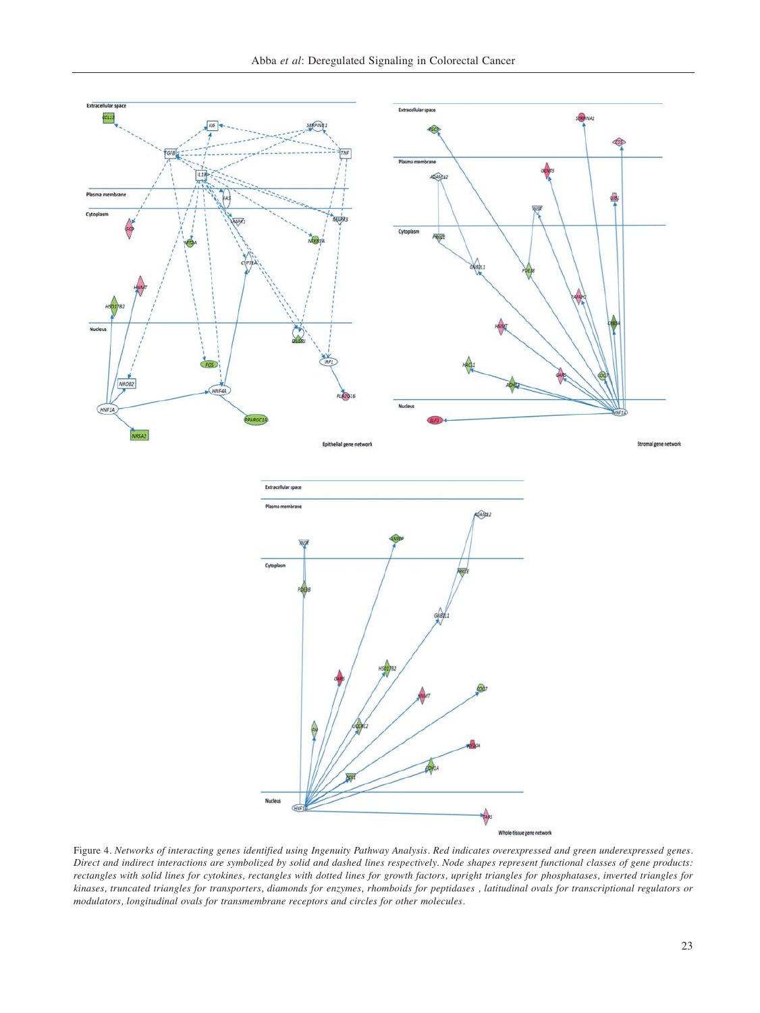

Figure 4. *Networks of interacting genes identified using Ingenuity Pathway Analysis. Red indicates overexpressed and green underexpressed genes. Direct and indirect interactions are symbolized by solid and dashed lines respectively. Node shapes represent functional classes of gene products: rectangles with solid lines for cytokines, rectangles with dotted lines for growth factors, upright triangles for phosphatases, inverted triangles for kinases, truncated triangles for transporters, diamonds for enzymes, rhomboids for peptidases , latitudinal ovals for transcriptional regulators or modulators, longitudinal ovals for transmembrane receptors and circles for other molecules.*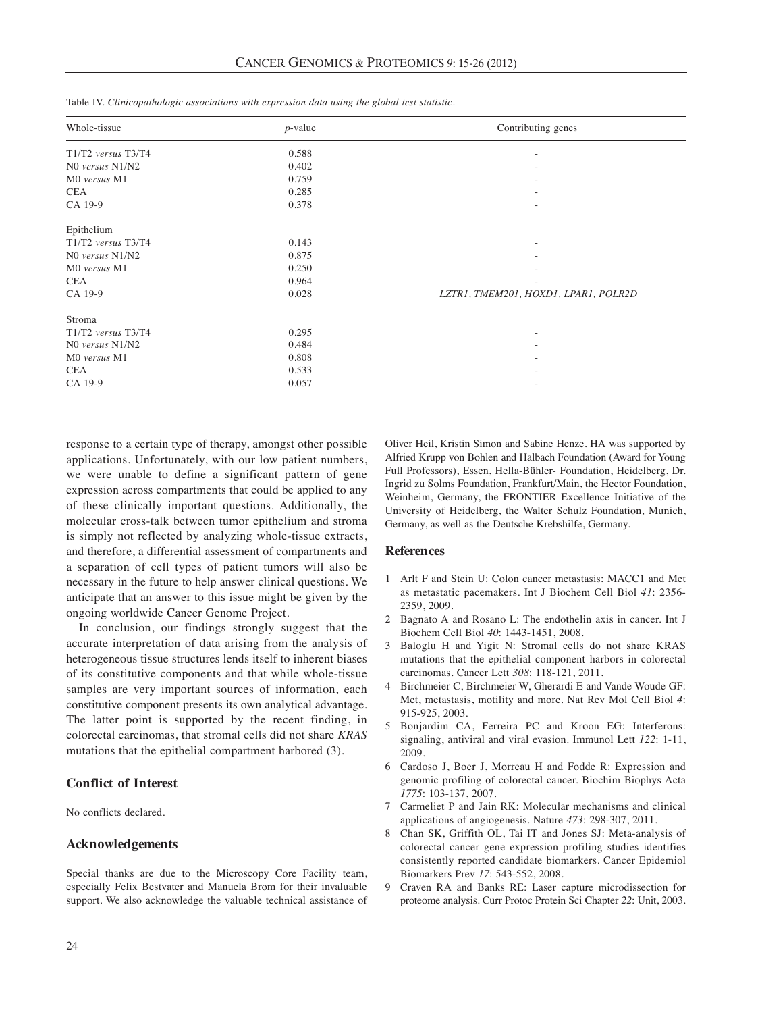| Whole-tissue        | $p$ -value | Contributing genes                   |
|---------------------|------------|--------------------------------------|
| T1/T2 versus T3/T4  | 0.588      | ٠                                    |
| NO versus N1/N2     | 0.402      |                                      |
| M0 versus M1        | 0.759      |                                      |
| <b>CEA</b>          | 0.285      |                                      |
| CA 19-9             | 0.378      | $\overline{\phantom{a}}$             |
| Epithelium          |            |                                      |
| T1/T2 versus T3/T4  | 0.143      | $\overline{\phantom{a}}$             |
| $NO$ versus $N1/N2$ | 0.875      |                                      |
| M0 versus M1        | 0.250      |                                      |
| <b>CEA</b>          | 0.964      |                                      |
| CA 19-9             | 0.028      | LZTR1, TMEM201, HOXD1, LPAR1, POLR2D |
| Stroma              |            |                                      |
| T1/T2 versus T3/T4  | 0.295      | $\overline{\phantom{a}}$             |
| NO versus N1/N2     | 0.484      |                                      |
| M0 versus M1        | 0.808      |                                      |
| <b>CEA</b>          | 0.533      |                                      |
| CA 19-9             | 0.057      |                                      |

Table IV. *Clinicopathologic associations with expression data using the global test statistic.* 

response to a certain type of therapy, amongst other possible applications. Unfortunately, with our low patient numbers, we were unable to define a significant pattern of gene expression across compartments that could be applied to any of these clinically important questions. Additionally, the molecular cross-talk between tumor epithelium and stroma is simply not reflected by analyzing whole-tissue extracts, and therefore, a differential assessment of compartments and a separation of cell types of patient tumors will also be necessary in the future to help answer clinical questions. We anticipate that an answer to this issue might be given by the ongoing worldwide Cancer Genome Project.

In conclusion, our findings strongly suggest that the accurate interpretation of data arising from the analysis of heterogeneous tissue structures lends itself to inherent biases of its constitutive components and that while whole-tissue samples are very important sources of information, each constitutive component presents its own analytical advantage. The latter point is supported by the recent finding, in colorectal carcinomas, that stromal cells did not share *KRAS* mutations that the epithelial compartment harbored (3).

## **Conflict of Interest**

No conflicts declared.

### **Acknowledgements**

Special thanks are due to the Microscopy Core Facility team, especially Felix Bestvater and Manuela Brom for their invaluable support. We also acknowledge the valuable technical assistance of

Oliver Heil, Kristin Simon and Sabine Henze. HA was supported by Alfried Krupp von Bohlen and Halbach Foundation (Award for Young Full Professors), Essen, Hella-Bühler- Foundation, Heidelberg, Dr. Ingrid zu Solms Foundation, Frankfurt/Main, the Hector Foundation, Weinheim, Germany, the FRONTIER Excellence Initiative of the University of Heidelberg, the Walter Schulz Foundation, Munich, Germany, as well as the Deutsche Krebshilfe, Germany.

## **References**

- 1 Arlt F and Stein U: Colon cancer metastasis: MACC1 and Met as metastatic pacemakers. Int J Biochem Cell Biol *41*: 2356- 2359, 2009.
- 2 Bagnato A and Rosano L: The endothelin axis in cancer. Int J Biochem Cell Biol *40*: 1443-1451, 2008.
- 3 Baloglu H and Yigit N: Stromal cells do not share KRAS mutations that the epithelial component harbors in colorectal carcinomas. Cancer Lett *308*: 118-121, 2011.
- 4 Birchmeier C, Birchmeier W, Gherardi E and Vande Woude GF: Met, metastasis, motility and more. Nat Rev Mol Cell Biol *4*: 915-925, 2003.
- 5 Bonjardim CA, Ferreira PC and Kroon EG: Interferons: signaling, antiviral and viral evasion. Immunol Lett *122*: 1-11, 2009.
- 6 Cardoso J, Boer J, Morreau H and Fodde R: Expression and genomic profiling of colorectal cancer. Biochim Biophys Acta *1775*: 103-137, 2007.
- 7 Carmeliet P and Jain RK: Molecular mechanisms and clinical applications of angiogenesis. Nature *473*: 298-307, 2011.
- 8 Chan SK, Griffith OL, Tai IT and Jones SJ: Meta-analysis of colorectal cancer gene expression profiling studies identifies consistently reported candidate biomarkers. Cancer Epidemiol Biomarkers Prev *17*: 543-552, 2008.
- 9 Craven RA and Banks RE: Laser capture microdissection for proteome analysis. Curr Protoc Protein Sci Chapter *22*: Unit, 2003.